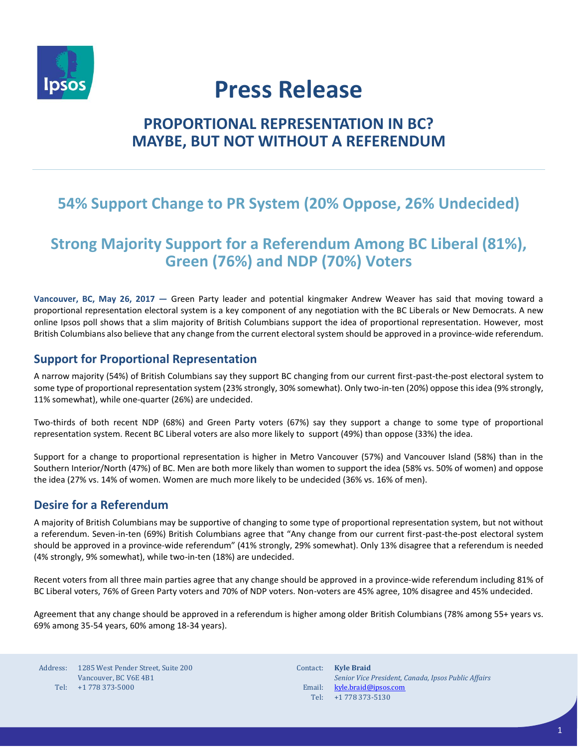

# **Press Release**

# **PROPORTIONAL REPRESENTATION IN BC? MAYBE, BUT NOT WITHOUT A REFERENDUM**

# **54% Support Change to PR System (20% Oppose, 26% Undecided)**

# **Strong Majority Support for a Referendum Among BC Liberal (81%), Green (76%) and NDP (70%) Voters**

**Vancouver, BC, May 26, 2017 —** Green Party leader and potential kingmaker Andrew Weaver has said that moving toward a proportional representation electoral system is a key component of any negotiation with the BC Liberals or New Democrats. A new online Ipsos poll shows that a slim majority of British Columbians support the idea of proportional representation. However, most British Columbians also believe that any change from the current electoral system should be approved in a province-wide referendum.

### **Support for Proportional Representation**

A narrow majority (54%) of British Columbians say they support BC changing from our current first-past-the-post electoral system to some type of proportional representation system (23% strongly, 30% somewhat). Only two-in-ten (20%) oppose this idea (9% strongly, 11% somewhat), while one-quarter (26%) are undecided.

Two-thirds of both recent NDP (68%) and Green Party voters (67%) say they support a change to some type of proportional representation system. Recent BC Liberal voters are also more likely to support (49%) than oppose (33%) the idea.

Support for a change to proportional representation is higher in Metro Vancouver (57%) and Vancouver Island (58%) than in the Southern Interior/North (47%) of BC. Men are both more likely than women to support the idea (58% vs. 50% of women) and oppose the idea (27% vs. 14% of women. Women are much more likely to be undecided (36% vs. 16% of men).

### **Desire for a Referendum**

A majority of British Columbians may be supportive of changing to some type of proportional representation system, but not without a referendum. Seven-in-ten (69%) British Columbians agree that "Any change from our current first-past-the-post electoral system should be approved in a province-wide referendum" (41% strongly, 29% somewhat). Only 13% disagree that a referendum is needed (4% strongly, 9% somewhat), while two-in-ten (18%) are undecided.

Recent voters from all three main parties agree that any change should be approved in a province-wide referendum including 81% of BC Liberal voters, 76% of Green Party voters and 70% of NDP voters. Non-voters are 45% agree, 10% disagree and 45% undecided.

Agreement that any change should be approved in a referendum is higher among older British Columbians (78% among 55+ years vs. 69% among 35-54 years, 60% among 18-34 years).

Address: Tel: +1 778 373-5000 1285 West Pender Street, Suite 200 Vancouver, BC V6E 4B1

Contact: **Kyle Braid** Email: Tel: *Senior Vice President, Canada, Ipsos Public Affairs* [kyle.braid@ipsos.com](mailto:kyle.braid@ipsos.com) +1 778 373-5130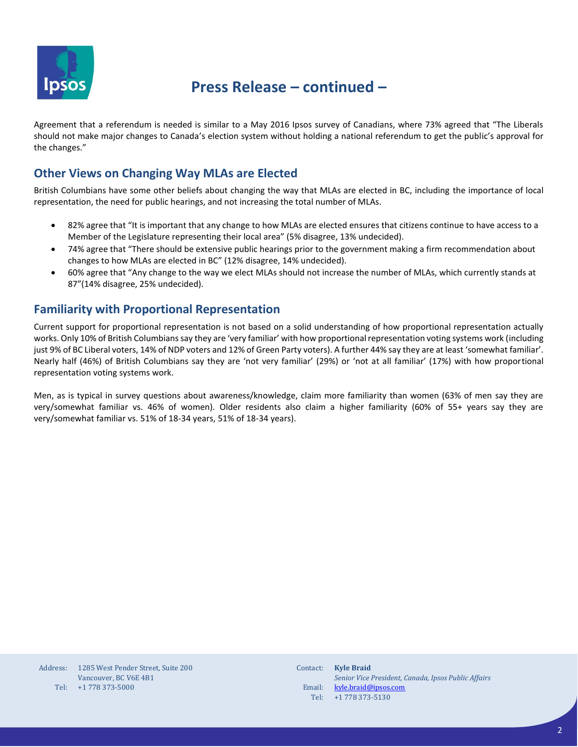

# **Press Release – continued –**

Agreement that a referendum is needed is similar to a May 2016 Ipsos survey of Canadians, where 73% agreed that "The Liberals should not make major changes to Canada's election system without holding a national referendum to get the public's approval for the changes."

### **Other Views on Changing Way MLAs are Elected**

British Columbians have some other beliefs about changing the way that MLAs are elected in BC, including the importance of local representation, the need for public hearings, and not increasing the total number of MLAs.

- 82% agree that "It is important that any change to how MLAs are elected ensures that citizens continue to have access to a Member of the Legislature representing their local area" (5% disagree, 13% undecided).
- 74% agree that "There should be extensive public hearings prior to the government making a firm recommendation about changes to how MLAs are elected in BC" (12% disagree, 14% undecided).
- 60% agree that "Any change to the way we elect MLAs should not increase the number of MLAs, which currently stands at 87"(14% disagree, 25% undecided).

### **Familiarity with Proportional Representation**

Current support for proportional representation is not based on a solid understanding of how proportional representation actually works. Only 10% of British Columbians say they are 'very familiar' with how proportional representation voting systems work (including just 9% of BC Liberal voters, 14% of NDP voters and 12% of Green Party voters). A further 44% say they are at least 'somewhat familiar'. Nearly half (46%) of British Columbians say they are 'not very familiar' (29%) or 'not at all familiar' (17%) with how proportional representation voting systems work.

Men, as is typical in survey questions about awareness/knowledge, claim more familiarity than women (63% of men say they are very/somewhat familiar vs. 46% of women). Older residents also claim a higher familiarity (60% of 55+ years say they are very/somewhat familiar vs. 51% of 18-34 years, 51% of 18-34 years).

| Address: | 1285 West Pender Street. Suite 200 |
|----------|------------------------------------|
|          | Vancouver, BC V6E 4B1              |
| Tel:     | $+1$ 778 373-5000                  |

| Contact: | <b>Kyle Braid</b>                                   |
|----------|-----------------------------------------------------|
|          | Senior Vice President, Canada, Ipsos Public Affairs |
| Email:   | kyle.braid@ipsos.com                                |
| Tel:     | +1 778 373-5130                                     |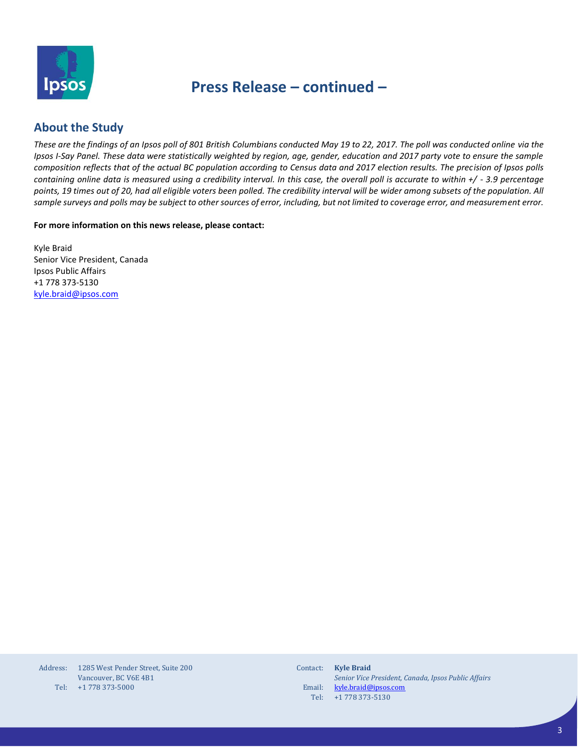

## **Press Release – continued –**

### **About the Study**

*These are the findings of an Ipsos poll of 801 British Columbians conducted May 19 to 22, 2017. The poll was conducted online via the Ipsos I-Say Panel. These data were statistically weighted by region, age, gender, education and 2017 party vote to ensure the sample composition reflects that of the actual BC population according to Census data and 2017 election results. The precision of Ipsos polls containing online data is measured using a credibility interval. In this case, the overall poll is accurate to within +/ - 3.9 percentage points, 19 times out of 20, had all eligible voters been polled. The credibility interval will be wider among subsets of the population. All sample surveys and polls may be subject to other sources of error, including, but not limited to coverage error, and measurement error.*

**For more information on this news release, please contact:**

Kyle Braid Senior Vice President, Canada Ipsos Public Affairs +1 778 373-5130 [kyle.braid@ipsos.com](mailto:kyle.braid@ipsos.com)

| Address: | 1285 West Pender Street. Suite 200 |
|----------|------------------------------------|
|          | Vancouver, BC V6E 4B1              |
| Tel:     | +1 778 373-5000                    |

| Contact: | <b>Kyle Braid</b>                                   |
|----------|-----------------------------------------------------|
|          | Senior Vice President, Canada, Ipsos Public Affairs |
| Email:   | kyle.braid@ipsos.com                                |
|          | Tel: $+1778373-5130$                                |